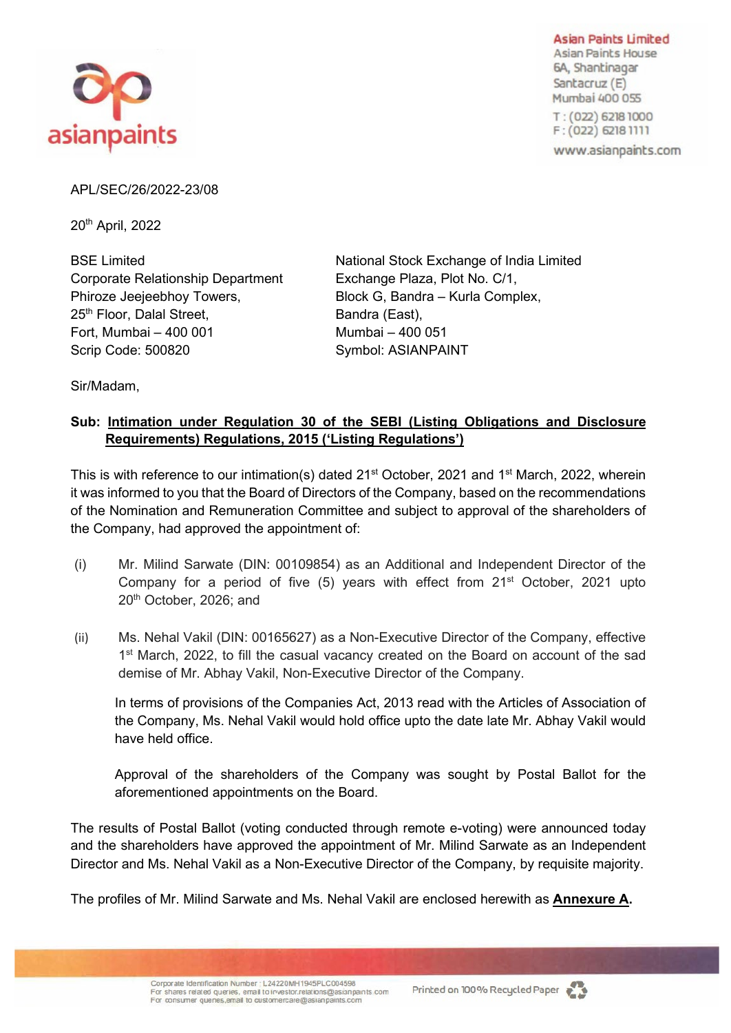

**Asian Paints Limited** Asian Paints House 6A, Shantinagar Santacruz (E) Mumbai 400 055 T: (022) 6218 1000  $F: (022)$  6218 1111

www.asianpaints.com

APL/SEC/26/2022-23/08

20th April, 2022

Corporate Relationship Department Exchange Plaza, Plot No. C/1, Phiroze Jeejeebhoy Towers, Block G, Bandra – Kurla Complex, 25<sup>th</sup> Floor, Dalal Street, Bandra (East), Fort, Mumbai – 400 001 Mumbai – 400 051 Scrip Code: 500820 Symbol: ASIANPAINT

BSE Limited **National Stock Exchange of India Limited** 

Sir/Madam,

# **Sub: Intimation under Regulation 30 of the SEBI (Listing Obligations and Disclosure Requirements) Regulations, 2015 ('Listing Regulations')**

This is with reference to our intimation(s) dated 21<sup>st</sup> October, 2021 and 1<sup>st</sup> March, 2022, wherein it was informed to you that the Board of Directors of the Company, based on the recommendations of the Nomination and Remuneration Committee and subject to approval of the shareholders of the Company, had approved the appointment of:

- (i) Mr. Milind Sarwate (DIN: 00109854) as an Additional and Independent Director of the Company for a period of five  $(5)$  years with effect from  $21<sup>st</sup>$  October, 2021 upto 20th October, 2026; and
- (ii) Ms. Nehal Vakil (DIN: 00165627) as a Non-Executive Director of the Company, effective 1<sup>st</sup> March, 2022, to fill the casual vacancy created on the Board on account of the sad demise of Mr. Abhay Vakil, Non-Executive Director of the Company.

In terms of provisions of the Companies Act, 2013 read with the Articles of Association of the Company, Ms. Nehal Vakil would hold office upto the date late Mr. Abhay Vakil would have held office.

Approval of the shareholders of the Company was sought by Postal Ballot for the aforementioned appointments on the Board.

The results of Postal Ballot (voting conducted through remote e-voting) were announced today and the shareholders have approved the appointment of Mr. Milind Sarwate as an Independent Director and Ms. Nehal Vakil as a Non-Executive Director of the Company, by requisite majority.

The profiles of Mr. Milind Sarwate and Ms. Nehal Vakil are enclosed herewith as **Annexure A.**



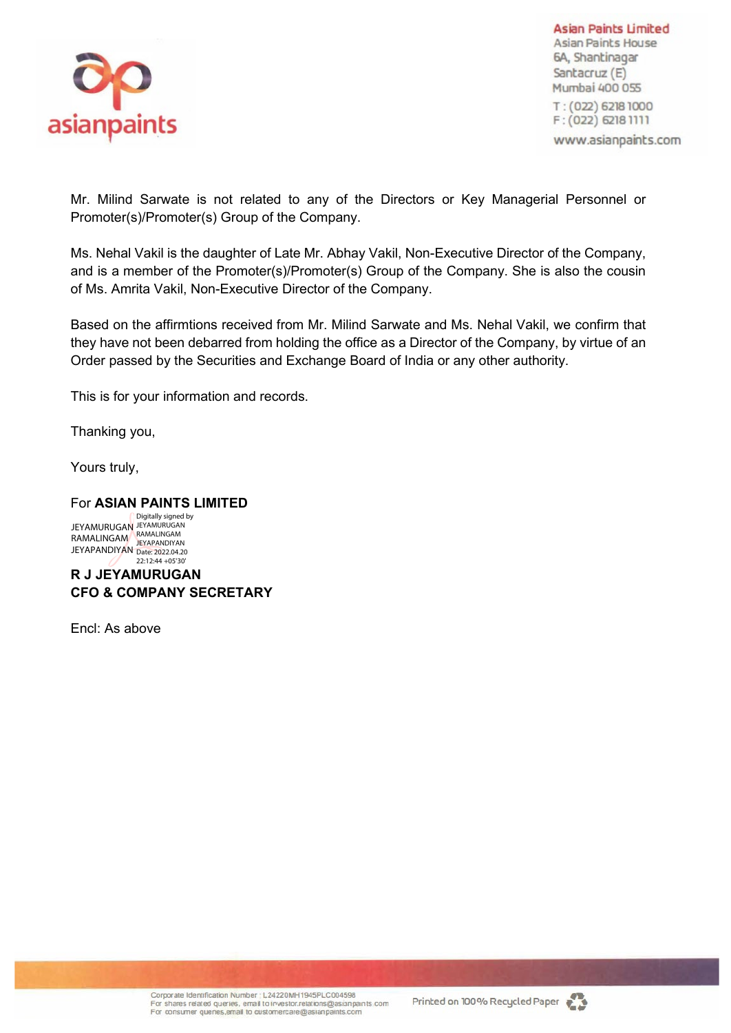

**Asian Paints Limited** Asian Paints House 6A, Shantinagar Santacruz (E) Mumbai 400 055 T: (022) 6218 1000  $F: (022)$  6218 1111 www.asianpaints.com

Mr. Milind Sarwate is not related to any of the Directors or Key Managerial Personnel or Promoter(s)/Promoter(s) Group of the Company.

Ms. Nehal Vakil is the daughter of Late Mr. Abhay Vakil, Non-Executive Director of the Company, and is a member of the Promoter(s)/Promoter(s) Group of the Company. She is also the cousin of Ms. Amrita Vakil, Non-Executive Director of the Company.

Based on the affirmtions received from Mr. Milind Sarwate and Ms. Nehal Vakil, we confirm that they have not been debarred from holding the office as a Director of the Company, by virtue of an Order passed by the Securities and Exchange Board of India or any other authority.

This is for your information and records.

Thanking you,

Yours truly,

## For **ASIAN PAINTS LIMITED**

JEYAMURUGAN RAMALINGAM JEYAPANDIYAN Digitally signed by JEYAMURUGAN RAMALINGAM JEYAPANDIYAN Date: 2022.04.20  $22:12:44 + 05'30'$ 

**R J JEYAMURUGAN CFO & COMPANY SECRETARY**

Encl: As above

Corporate Identification Number : L24220MH1945PLC004598 For shares related queries, email to investor, relations@asianpaints com For consumer quenes, email to customercare@asianpaints.com

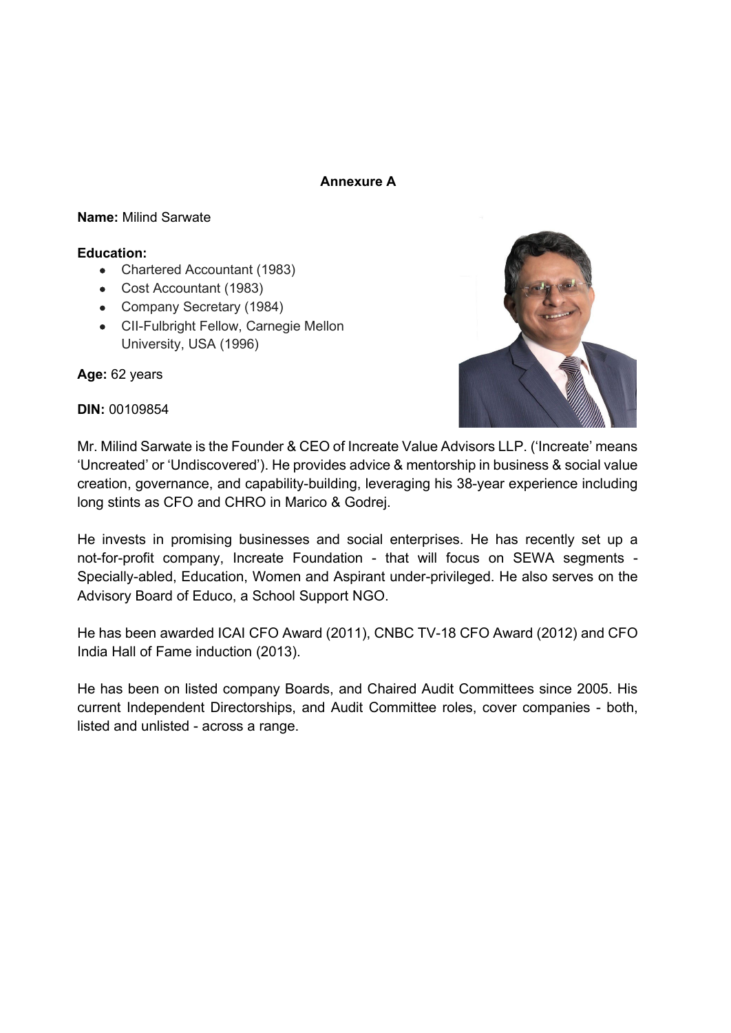## **Annexure A**

## **Name:** Milind Sarwate

## **Education:**

- Chartered Accountant (1983)
- Cost Accountant (1983)
- Company Secretary (1984)
- CII-Fulbright Fellow, Carnegie Mellon University, USA (1996)

**Age:** 62 years





Mr. Milind Sarwate is the Founder & CEO of Increate Value Advisors LLP. ('Increate' means 'Uncreated' or 'Undiscovered'). He provides advice & mentorship in business & social value creation, governance, and capability-building, leveraging his 38-year experience including long stints as CFO and CHRO in Marico & Godrej.

He invests in promising businesses and social enterprises. He has recently set up a not-for-profit company, Increate Foundation - that will focus on SEWA segments - Specially-abled, Education, Women and Aspirant under-privileged. He also serves on the Advisory Board of Educo, a School Support NGO.

He has been awarded ICAI CFO Award (2011), CNBC TV-18 CFO Award (2012) and CFO India Hall of Fame induction (2013).

He has been on listed company Boards, and Chaired Audit Committees since 2005. His current Independent Directorships, and Audit Committee roles, cover companies - both, listed and unlisted - across a range.